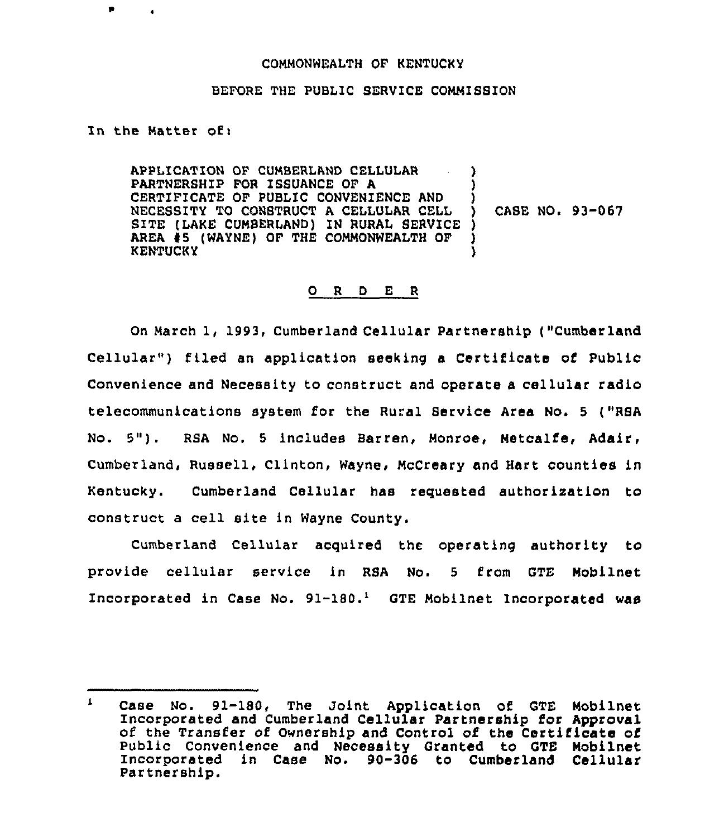## COMMONWEALTH OF KENTUCKY

## BEFORE THE PUBLIC SERVICE COMMISSION

In the Matter of:

 $\bullet$ 

APPLICATION OF CUMBERLAND CELLULAR ) PARTNERSHIP FOR ISSUANCE OF A ) CERTIFICATE OF PUBLIC CONVENIENCE AND ) NECESSITY TO CONSTRUCT <sup>A</sup> CELLULAR CELL ) SITE (LAKE CUMBERLAND) IN RURAL SERVICE ) AREA 45 (WAYNE) OF THE COMMONWEALTH OF ) **KENTUCKY**  $CASE NO. 93-067$ 

## 0 <sup>R</sup> <sup>D</sup> E <sup>R</sup>

On March 1, 1993, Cumberland Cellular Partnership ("Cumberland Cellular") filed an application seeking a Certificate of Public Convenience and Necessity to construct and operate a cellular radio telecommunications system for the Rural Service Area No. <sup>5</sup> ("RSA No. 5"). RSA No. <sup>5</sup> includes Barren, Monroe, Metcalfe, Adair, Cumberland, Russell, Clinton, Wayne, McCreary and Hart counties in Kentucky. Cumberland Cellular has requested authorization to construct a cell site in Wayne County.

Cumberland Cellular acquired the operating authority to provide cellular service in RSA No. 5 from GTE Mobilnet Incorporated in Case No. 91-180.<sup>1</sup> GTE Mobilnet Incorporated was

 $\mathbf{1}$ Case No. 91-180, The Joint Application of GTE Mobilnet Incorporated and Cumberland Cellular Partnership for Approval of the Transfer of Ownership and Control of the Certificate of Public Convenience and Necessity Granted to GTE Mobilnet Incorporated in Case No. 90-306 to Cumberland Cellular Partnership.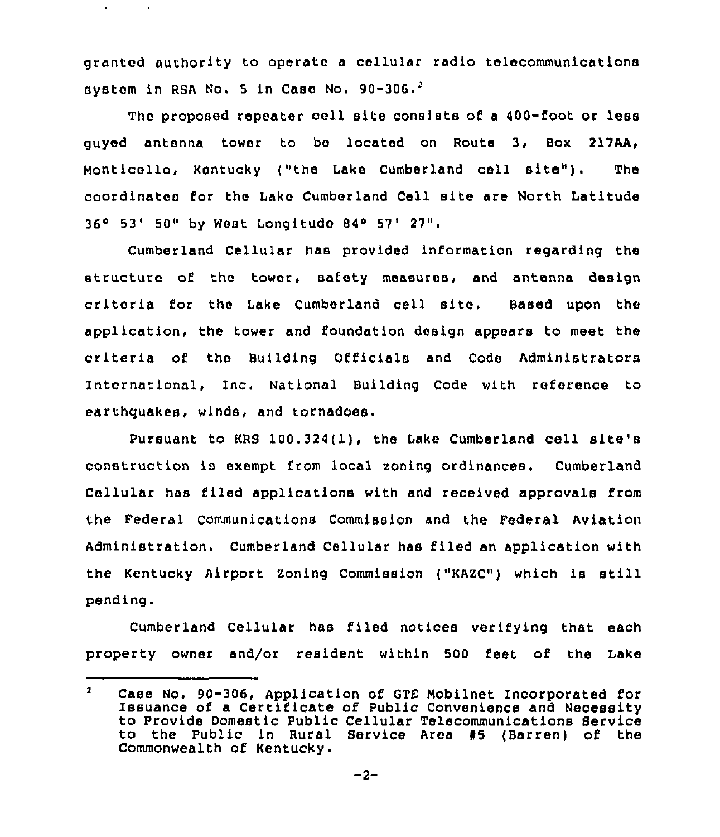granted authority to operate a cellular radio telecommunications system in RSA No. 5 in Case No.  $90-306$ . $^2$ 

 $\bullet$ 

The proposed repeater cell site consists of a 400-foot or less guyed antenna tower to be located on Route 3, Box 217AA, Monticello, Kentucky ("the Lake Cumberland cell site"). The coordinates for the Lake Cumberland Cell site are North Latitude 36° 53' 50" by West Longitude 84° 57' 27".

Cumberland Cellular has provided information regarding the structure of the tower, safety measures, and antenna design criteria for the Lake Cumberland cell site, Based upon the application, the tower and foundation design appears to meet the criteria of the Building Officials and Code Administrators International, Inc. National Building Code with reference to earthquakes, winds, and tornadoes.

Pursuant to KRS 100.324(1), the take Cumberland cell site's construction is exempt from local soning ordinances. Cumberland Cellular has filed applications with and received approvals from the Federal communications Commission and the Federal Aviation Administration. Cumberland Cellular has filed an application with the Kentucky Airport Zoning Commission ("KAZC") which is still pending.

Cumberland Cellular has filed notices verifying that each property owner and/or resident within 500 feet of the Lake

 $2<sup>7</sup>$ Case No. 90-306, Application of GTE Mobilnet Incorporated for Issuance of a Certificate of Public Convenience and Necessity to Provide Domestic Public Cellular Telecommunications Service to the Public in Rural Service Area 45 (Barren) of the Commonwealth of Kentucky.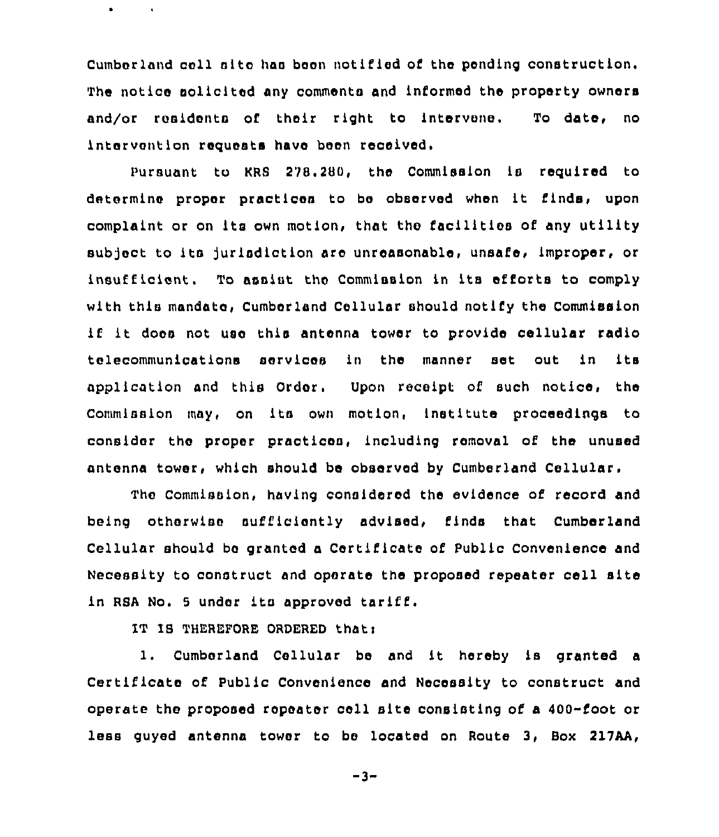Cumberland cell site has been notified of the pending construction. The notice solicited any comments and informed the property owners and/or residents of their right to intervene. To date, no intervention requests have been received.

Pursuant to KRS 278.280, the Commission is reguired to determine proper practices to be observed when it finds, upon complaint or on its own motion, that the facilities of any utility subject to its jurisdiction are unreasonable, unsafe, improper, or 1nsuff icient. To assist the Commission in its efforts to comply with this mandate, Cumberland Cellular should notify the Commission 1f it does not use this antenna tower to provide cellular radio telecommunications services in the manner set out in its application and this Order, Upon receipt of such notice, the Commission may, on its own motion, institute proceedings to consider the proper practices, including removal of the unused antenna tower, which should be observed by Cumberland Cellular.

The Commission, having considered the evidence of record and being otherwise sufficiently advised, finds that Cumberland Cellular should be granted a Certificate of Public Convenience and Necessity to construct and operate the proposed repeater cell site in RSA No. 5 under its approved tariff.

lT lS THEREPORE ORDERED thati

 $\mathbf{r}$ 

1. Cumberland Cellular be and it hereby is granted <sup>a</sup> Certificate of Public Convenience and Necessity to construct and operate the proposed repeater cell site consisting of a 400-foot or lese guyed antenna tower to be located on Route 3, Box 217AA,

 $-3-$